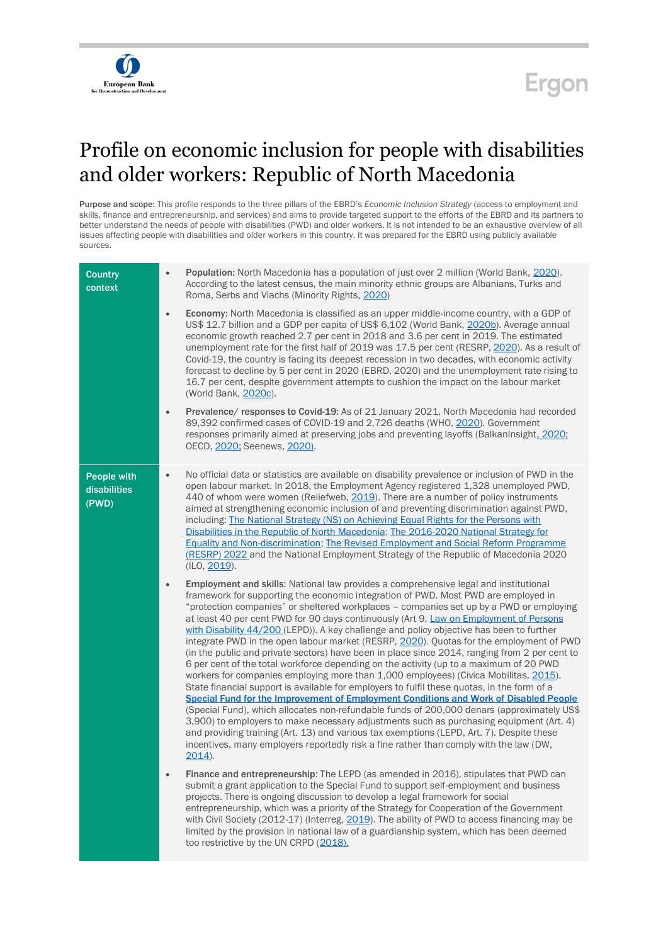## $\widehat{\bm{U}}$ European Bank

## Ergon

## Profile on economic inclusion for people with disabilities and older workers: Republic of North Macedonia

Purpose and scope: This profile responds to the three pillars of the EBRD's *Economic Inclusion Strategy* (access to employment and skills, finance and entrepreneurship, and services) and aims to provide targeted support to the efforts of the EBRD and its partners to better understand the needs of people with disabilities (PWD) and older workers. It is not intended to be an exhaustive overview of all issues affecting people with disabilities and older workers in this country. It was prepared for the EBRD using publicly available sources.

| <b>Country</b><br>context            | Population: North Macedonia has a population of just over 2 million (World Bank, 2020).<br>$\bullet$<br>According to the latest census, the main minority ethnic groups are Albanians, Turks and<br>Roma, Serbs and Vlachs (Minority Rights, 2020)                                                                                                                                                                                                                                                                                                                                                                                                                                                                                                                                                                                                                                                                                                                                                                                                                                                                                                                                                                                                                                                                                                                                                                                                        |
|--------------------------------------|-----------------------------------------------------------------------------------------------------------------------------------------------------------------------------------------------------------------------------------------------------------------------------------------------------------------------------------------------------------------------------------------------------------------------------------------------------------------------------------------------------------------------------------------------------------------------------------------------------------------------------------------------------------------------------------------------------------------------------------------------------------------------------------------------------------------------------------------------------------------------------------------------------------------------------------------------------------------------------------------------------------------------------------------------------------------------------------------------------------------------------------------------------------------------------------------------------------------------------------------------------------------------------------------------------------------------------------------------------------------------------------------------------------------------------------------------------------|
|                                      | <b>Economy:</b> North Macedonia is classified as an upper middle-income country, with a GDP of<br>$\bullet$<br>US\$ 12.7 billion and a GDP per capita of US\$ 6,102 (World Bank, 2020b). Average annual<br>economic growth reached 2.7 per cent in 2018 and 3.6 per cent in 2019. The estimated<br>unemployment rate for the first half of 2019 was 17.5 per cent (RESRP, 2020). As a result of<br>Covid-19, the country is facing its deepest recession in two decades, with economic activity<br>forecast to decline by 5 per cent in 2020 (EBRD, 2020) and the unemployment rate rising to<br>16.7 per cent, despite government attempts to cushion the impact on the labour market<br>(World Bank, 2020c).                                                                                                                                                                                                                                                                                                                                                                                                                                                                                                                                                                                                                                                                                                                                            |
|                                      | Prevalence/ responses to Covid-19: As of 21 January 2021, North Macedonia had recorded<br>$\bullet$<br>89,392 confirmed cases of COVID-19 and 2,726 deaths (WHO, 2020). Government<br>responses primarily aimed at preserving jobs and preventing layoffs (BalkanInsight, 2020;<br>OECD, 2020; Seenews, 2020).                                                                                                                                                                                                                                                                                                                                                                                                                                                                                                                                                                                                                                                                                                                                                                                                                                                                                                                                                                                                                                                                                                                                            |
| People with<br>disabilities<br>(PWD) | No official data or statistics are available on disability prevalence or inclusion of PWD in the<br>$\bullet$<br>open labour market. In 2018, the Employment Agency registered 1,328 unemployed PWD.<br>440 of whom were women (Reliefweb, 2019). There are a number of policy instruments<br>aimed at strengthening economic inclusion of and preventing discrimination against PWD,<br>including: The National Strategy (NS) on Achieving Equal Rights for the Persons with<br>Disabilities in the Republic of North Macedonia; The 2016-2020 National Strategy for<br><b>Equality and Non-discrimination; The Revised Employment and Social Reform Programme</b><br>(RESRP) 2022 and the National Employment Strategy of the Republic of Macedonia 2020<br>(ILO, 2019).                                                                                                                                                                                                                                                                                                                                                                                                                                                                                                                                                                                                                                                                                |
|                                      | <b>Employment and skills:</b> National law provides a comprehensive legal and institutional<br>$\bullet$<br>framework for supporting the economic integration of PWD. Most PWD are employed in<br>"protection companies" or sheltered workplaces - companies set up by a PWD or employing<br>at least 40 per cent PWD for 90 days continuously (Art 9, Law on Employment of Persons<br>with Disability 44/200 (LEPD)). A key challenge and policy objective has been to further<br>integrate PWD in the open labour market (RESRP, 2020). Quotas for the employment of PWD<br>(in the public and private sectors) have been in place since 2014, ranging from 2 per cent to<br>6 per cent of the total workforce depending on the activity (up to a maximum of 20 PWD<br>workers for companies employing more than 1,000 employees) (Civica Mobilitas, 2015).<br>State financial support is available for employers to fulfil these quotas, in the form of a<br><b>Special Fund for the Improvement of Employment Conditions and Work of Disabled People</b><br>(Special Fund), which allocates non-refundable funds of 200,000 denars (approximately US\$<br>3,900) to employers to make necessary adjustments such as purchasing equipment (Art. 4)<br>and providing training (Art. 13) and various tax exemptions (LEPD, Art. 7). Despite these<br>incentives, many employers reportedly risk a fine rather than comply with the law (DW,<br>$2014$ ). |
|                                      | Finance and entrepreneurship: The LEPD (as amended in 2016), stipulates that PWD can<br>$\bullet$<br>submit a grant application to the Special Fund to support self-employment and business<br>projects. There is ongoing discussion to develop a legal framework for social<br>entrepreneurship, which was a priority of the Strategy for Cooperation of the Government<br>with Civil Society (2012-17) (Interreg, 2019). The ability of PWD to access financing may be<br>limited by the provision in national law of a guardianship system, which has been deemed<br>too restrictive by the UN CRPD (2018).                                                                                                                                                                                                                                                                                                                                                                                                                                                                                                                                                                                                                                                                                                                                                                                                                                            |